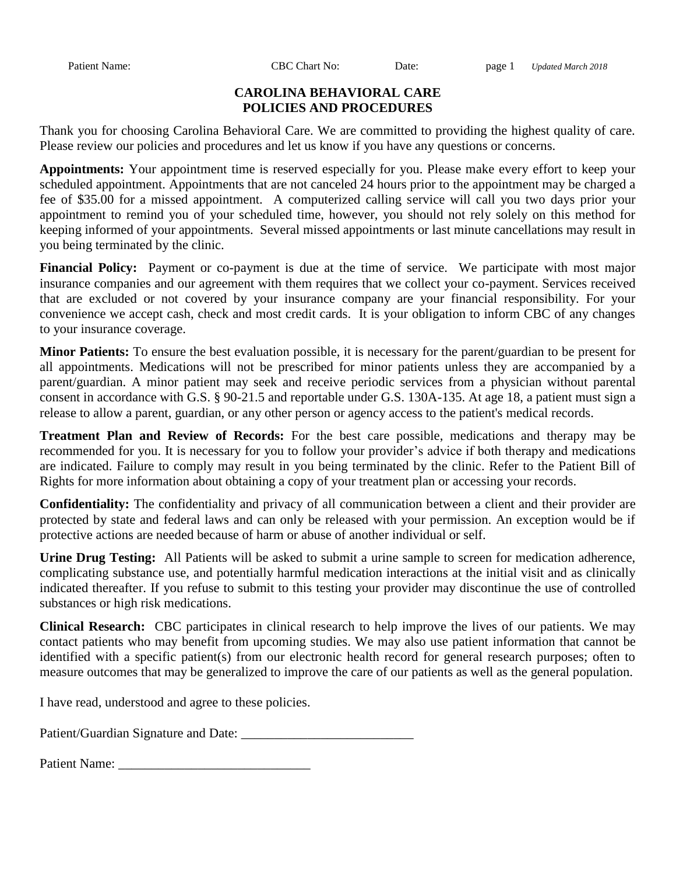Patient Name: CBC Chart No: Date: page 1 *Updated March 2018*

## **CAROLINA BEHAVIORAL CARE POLICIES AND PROCEDURES**

Thank you for choosing Carolina Behavioral Care. We are committed to providing the highest quality of care. Please review our policies and procedures and let us know if you have any questions or concerns.

**Appointments:** Your appointment time is reserved especially for you. Please make every effort to keep your scheduled appointment. Appointments that are not canceled 24 hours prior to the appointment may be charged a fee of \$35.00 for a missed appointment. A computerized calling service will call you two days prior your appointment to remind you of your scheduled time, however, you should not rely solely on this method for keeping informed of your appointments. Several missed appointments or last minute cancellations may result in you being terminated by the clinic.

**Financial Policy:** Payment or co-payment is due at the time of service. We participate with most major insurance companies and our agreement with them requires that we collect your co-payment. Services received that are excluded or not covered by your insurance company are your financial responsibility. For your convenience we accept cash, check and most credit cards. It is your obligation to inform CBC of any changes to your insurance coverage.

**Minor Patients:** To ensure the best evaluation possible, it is necessary for the parent/guardian to be present for all appointments. Medications will not be prescribed for minor patients unless they are accompanied by a parent/guardian. A minor patient may seek and receive periodic services from a physician without parental consent in accordance with G.S. § 90-21.5 and reportable under G.S. 130A-135. At age 18, a patient must sign a release to allow a parent, guardian, or any other person or agency access to the patient's medical records.

**Treatment Plan and Review of Records:** For the best care possible, medications and therapy may be recommended for you. It is necessary for you to follow your provider's advice if both therapy and medications are indicated. Failure to comply may result in you being terminated by the clinic. Refer to the Patient Bill of Rights for more information about obtaining a copy of your treatment plan or accessing your records.

**Confidentiality:** The confidentiality and privacy of all communication between a client and their provider are protected by state and federal laws and can only be released with your permission. An exception would be if protective actions are needed because of harm or abuse of another individual or self.

**Urine Drug Testing:** All Patients will be asked to submit a urine sample to screen for medication adherence, complicating substance use, and potentially harmful medication interactions at the initial visit and as clinically indicated thereafter. If you refuse to submit to this testing your provider may discontinue the use of controlled substances or high risk medications.

**Clinical Research:** CBC participates in clinical research to help improve the lives of our patients. We may contact patients who may benefit from upcoming studies. We may also use patient information that cannot be identified with a specific patient(s) from our electronic health record for general research purposes; often to measure outcomes that may be generalized to improve the care of our patients as well as the general population.

I have read, understood and agree to these policies.

Patient/Guardian Signature and Date: \_\_\_\_\_\_\_\_\_\_\_\_\_\_\_\_\_\_\_\_\_\_\_\_\_\_

| <b>Patient Name:</b> |  |
|----------------------|--|
|----------------------|--|